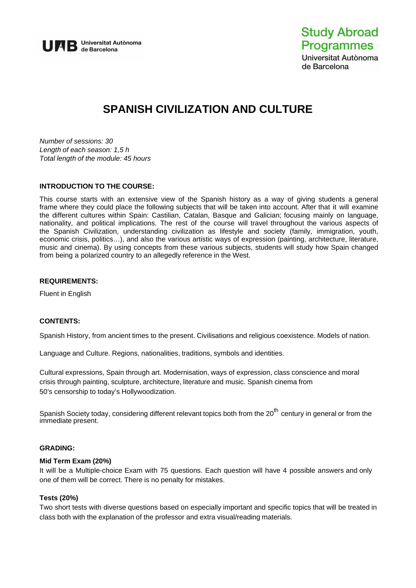

# **SPANISH CIVILIZATION AND CULTURE**

*Number of sessions: 30 Length of each season: 1,5 h Total length of the module: 45 hours* 

## **INTRODUCTION TO THE COURSE:**

This course starts with an extensive view of the Spanish history as a way of giving students a general frame where they could place the following subjects that will be taken into account. After that it will examine the different cultures within Spain: Castilian, Catalan, Basque and Galician; focusing mainly on language, nationality, and political implications. The rest of the course will travel throughout the various aspects of the Spanish Civilization, understanding civilization as lifestyle and society (family, immigration, youth, economic crisis, politics…), and also the various artistic ways of expression (painting, architecture, literature, music and cinema). By using concepts from these various subjects, students will study how Spain changed from being a polarized country to an allegedly reference in the West.

## **REQUIREMENTS:**

Fluent in English

## **CONTENTS:**

Spanish History, from ancient times to the present. Civilisations and religious coexistence. Models of nation.

Language and Culture. Regions, nationalities, traditions, symbols and identities.

Cultural expressions, Spain through art. Modernisation, ways of expression, class conscience and moral crisis through painting, sculpture, architecture, literature and music. Spanish cinema from 50's censorship to today's Hollywoodization.

Spanish Society today, considering different relevant topics both from the 20<sup>th</sup> century in general or from the immediate present.

## **GRADING:**

## **Mid Term Exam (20%)**

It will be a Multiple-choice Exam with 75 questions. Each question will have 4 possible answers and only one of them will be correct. There is no penalty for mistakes.

## **Tests (20%)**

Two short tests with diverse questions based on especially important and specific topics that will be treated in class both with the explanation of the professor and extra visual/reading materials.